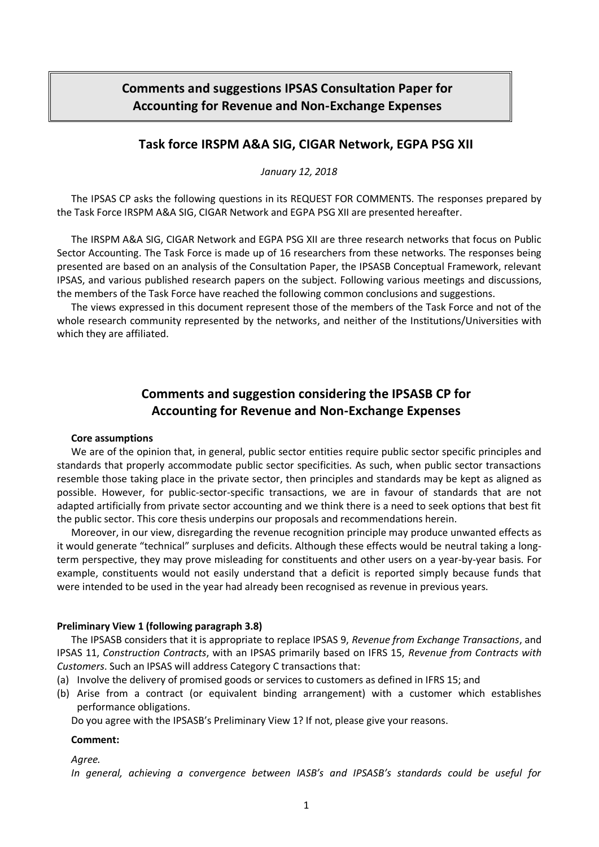# **Comments and suggestions IPSAS Consultation Paper for Accounting for Revenue and Non-Exchange Expenses**

# **Task force IRSPM A&A SIG, CIGAR Network, EGPA PSG XII**

*January 12, 2018*

The IPSAS CP asks the following questions in its REQUEST FOR COMMENTS. The responses prepared by the Task Force IRSPM A&A SIG, CIGAR Network and EGPA PSG XII are presented hereafter.

The IRSPM A&A SIG, CIGAR Network and EGPA PSG XII are three research networks that focus on Public Sector Accounting. The Task Force is made up of 16 researchers from these networks. The responses being presented are based on an analysis of the Consultation Paper, the IPSASB Conceptual Framework, relevant IPSAS, and various published research papers on the subject. Following various meetings and discussions, the members of the Task Force have reached the following common conclusions and suggestions.

The views expressed in this document represent those of the members of the Task Force and not of the whole research community represented by the networks, and neither of the Institutions/Universities with which they are affiliated.

# **Comments and suggestion considering the IPSASB CP for Accounting for Revenue and Non-Exchange Expenses**

## **Core assumptions**

We are of the opinion that, in general, public sector entities require public sector specific principles and standards that properly accommodate public sector specificities. As such, when public sector transactions resemble those taking place in the private sector, then principles and standards may be kept as aligned as possible. However, for public-sector-specific transactions, we are in favour of standards that are not adapted artificially from private sector accounting and we think there is a need to seek options that best fit the public sector. This core thesis underpins our proposals and recommendations herein.

Moreover, in our view, disregarding the revenue recognition principle may produce unwanted effects as it would generate "technical" surpluses and deficits. Although these effects would be neutral taking a longterm perspective, they may prove misleading for constituents and other users on a year-by-year basis. For example, constituents would not easily understand that a deficit is reported simply because funds that were intended to be used in the year had already been recognised as revenue in previous years.

# **Preliminary View 1 (following paragraph 3.8)**

The IPSASB considers that it is appropriate to replace IPSAS 9, *Revenue from Exchange Transactions*, and IPSAS 11, *Construction Contracts*, with an IPSAS primarily based on IFRS 15, *Revenue from Contracts with Customers*. Such an IPSAS will address Category C transactions that:

- (a) Involve the delivery of promised goods or services to customers as defined in IFRS 15; and
- (b) Arise from a contract (or equivalent binding arrangement) with a customer which establishes performance obligations.

Do you agree with the IPSASB's Preliminary View 1? If not, please give your reasons.

## **Comment:**

*Agree.*

*In general, achieving a convergence between IASB's and IPSASB's standards could be useful for*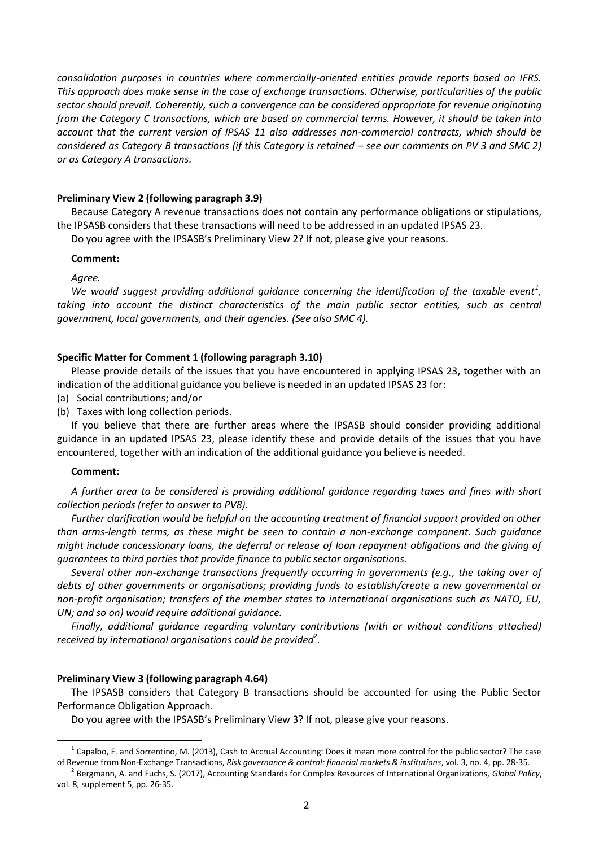*consolidation purposes in countries where commercially-oriented entities provide reports based on IFRS. This approach does make sense in the case of exchange transactions. Otherwise, particularities of the public sector should prevail. Coherently, such a convergence can be considered appropriate for revenue originating from the Category C transactions, which are based on commercial terms. However, it should be taken into account that the current version of IPSAS 11 also addresses non-commercial contracts, which should be considered as Category B transactions (if this Category is retained – see our comments on PV 3 and SMC 2) or as Category A transactions.*

## **Preliminary View 2 (following paragraph 3.9)**

Because Category A revenue transactions does not contain any performance obligations or stipulations, the IPSASB considers that these transactions will need to be addressed in an updated IPSAS 23.

Do you agree with the IPSASB's Preliminary View 2? If not, please give your reasons.

### **Comment:**

*Agree.* 

We would suggest providing additional guidance concerning the identification of the taxable event<sup>1</sup>, *taking into account the distinct characteristics of the main public sector entities, such as central government, local governments, and their agencies. (See also SMC 4).*

# **Specific Matter for Comment 1 (following paragraph 3.10)**

Please provide details of the issues that you have encountered in applying IPSAS 23, together with an indication of the additional guidance you believe is needed in an updated IPSAS 23 for:

- (a) Social contributions; and/or
- (b) Taxes with long collection periods.

If you believe that there are further areas where the IPSASB should consider providing additional guidance in an updated IPSAS 23, please identify these and provide details of the issues that you have encountered, together with an indication of the additional guidance you believe is needed.

#### **Comment:**

 $\overline{a}$ 

*A further area to be considered is providing additional guidance regarding taxes and fines with short collection periods (refer to answer to PV8).*

*Further clarification would be helpful on the accounting treatment of financial support provided on other than arms-length terms, as these might be seen to contain a non-exchange component. Such guidance might include concessionary loans, the deferral or release of loan repayment obligations and the giving of guarantees to third parties that provide finance to public sector organisations.* 

*Several other non-exchange transactions frequently occurring in governments (e.g., the taking over of debts of other governments or organisations; providing funds to establish/create a new governmental or non-profit organisation; transfers of the member states to international organisations such as NATO, EU, UN; and so on) would require additional guidance.*

*Finally, additional guidance regarding voluntary contributions (with or without conditions attached) received by international organisations could be provided<sup>2</sup> .*

# **Preliminary View 3 (following paragraph 4.64)**

The IPSASB considers that Category B transactions should be accounted for using the Public Sector Performance Obligation Approach.

Do you agree with the IPSASB's Preliminary View 3? If not, please give your reasons.

 $^1$  Capalbo, F. and Sorrentino, M. (2013), Cash to Accrual Accounting: Does it mean more control for the public sector? The case of Revenue from Non-Exchange Transactions, *Risk governance & control: financial markets & institutions*, vol. 3, no. 4, pp. 28-35.

<sup>2</sup> Bergmann, A. and Fuchs, S. (2017), Accounting Standards for Complex Resources of International Organizations, *Global Policy*, vol. 8, supplement 5, pp. 26-35.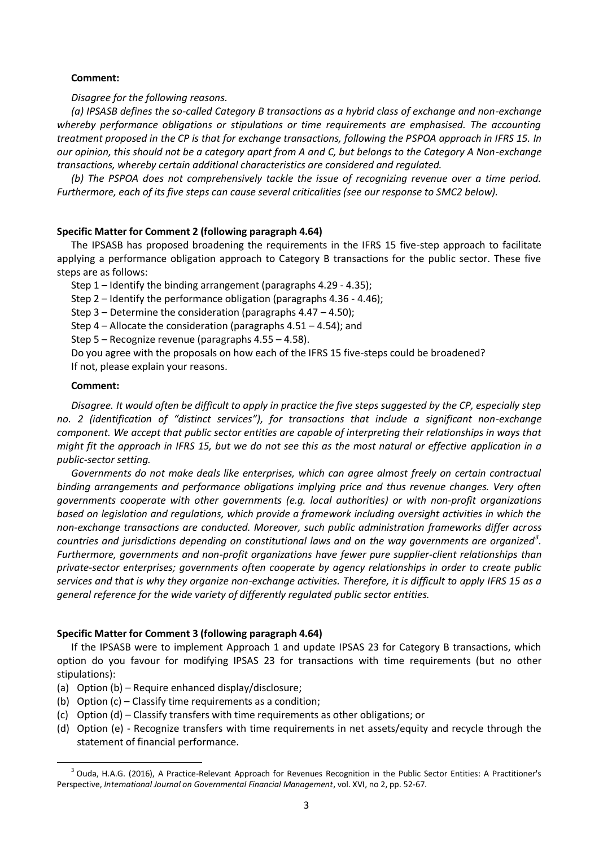# **Comment:**

*Disagree for the following reasons.* 

*(a) IPSASB defines the so-called Category B transactions as a hybrid class of exchange and non-exchange whereby performance obligations or stipulations or time requirements are emphasised. The accounting treatment proposed in the CP is that for exchange transactions, following the PSPOA approach in IFRS 15. In our opinion, this should not be a category apart from A and C, but belongs to the Category A Non-exchange transactions, whereby certain additional characteristics are considered and regulated.*

*(b) The PSPOA does not comprehensively tackle the issue of recognizing revenue over a time period. Furthermore, each of its five steps can cause several criticalities (see our response to SMC2 below).*

# **Specific Matter for Comment 2 (following paragraph 4.64)**

The IPSASB has proposed broadening the requirements in the IFRS 15 five-step approach to facilitate applying a performance obligation approach to Category B transactions for the public sector. These five steps are as follows:

Step 1 – Identify the binding arrangement (paragraphs 4.29 - 4.35);

Step 2 – Identify the performance obligation (paragraphs 4.36 - 4.46);

Step 3 – Determine the consideration (paragraphs 4.47 – 4.50);

Step 4 – Allocate the consideration (paragraphs 4.51 – 4.54); and

Step 5 – Recognize revenue (paragraphs 4.55 – 4.58).

Do you agree with the proposals on how each of the IFRS 15 five-steps could be broadened?

If not, please explain your reasons.

## **Comment:**

 $\overline{a}$ 

*Disagree. It would often be difficult to apply in practice the five steps suggested by the CP, especially step no. 2 (identification of "distinct services"), for transactions that include a significant non-exchange component. We accept that public sector entities are capable of interpreting their relationships in ways that might fit the approach in IFRS 15, but we do not see this as the most natural or effective application in a public-sector setting.* 

*Governments do not make deals like enterprises, which can agree almost freely on certain contractual binding arrangements and performance obligations implying price and thus revenue changes. Very often governments cooperate with other governments (e.g. local authorities) or with non-profit organizations based on legislation and regulations, which provide a framework including oversight activities in which the non-exchange transactions are conducted. Moreover, such public administration frameworks differ across countries and jurisdictions depending on constitutional laws and on the way governments are organized<sup>3</sup> . Furthermore, governments and non-profit organizations have fewer pure supplier-client relationships than private-sector enterprises; governments often cooperate by agency relationships in order to create public services and that is why they organize non-exchange activities. Therefore, it is difficult to apply IFRS 15 as a general reference for the wide variety of differently regulated public sector entities.*

## **Specific Matter for Comment 3 (following paragraph 4.64)**

If the IPSASB were to implement Approach 1 and update IPSAS 23 for Category B transactions, which option do you favour for modifying IPSAS 23 for transactions with time requirements (but no other stipulations):

- (a) Option (b) Require enhanced display/disclosure;
- (b) Option (c) Classify time requirements as a condition;
- (c) Option (d) Classify transfers with time requirements as other obligations; or
- (d) Option (e) Recognize transfers with time requirements in net assets/equity and recycle through the statement of financial performance.

<sup>&</sup>lt;sup>3</sup> Ouda, H.A.G. (2016), A Practice-Relevant Approach for Revenues Recognition in the Public Sector Entities: A Practitioner's Perspective, *International Journal on Governmental Financial Management*, vol. XVI, no 2, pp. 52-67.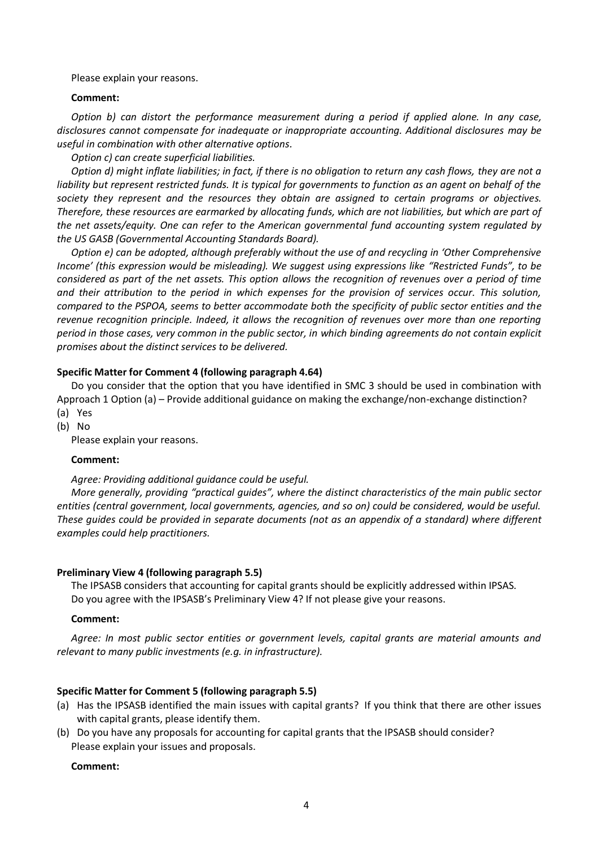Please explain your reasons.

#### **Comment:**

*Option b) can distort the performance measurement during a period if applied alone. In any case, disclosures cannot compensate for inadequate or inappropriate accounting. Additional disclosures may be useful in combination with other alternative options.*

*Option c) can create superficial liabilities.*

*Option d) might inflate liabilities; in fact, if there is no obligation to return any cash flows, they are not a liability but represent restricted funds. It is typical for governments to function as an agent on behalf of the society they represent and the resources they obtain are assigned to certain programs or objectives. Therefore, these resources are earmarked by allocating funds, which are not liabilities, but which are part of the net assets/equity. One can refer to the American governmental fund accounting system regulated by the US GASB (Governmental Accounting Standards Board).*

*Option e) can be adopted, although preferably without the use of and recycling in 'Other Comprehensive Income' (this expression would be misleading). We suggest using expressions like "Restricted Funds", to be considered as part of the net assets. This option allows the recognition of revenues over a period of time and their attribution to the period in which expenses for the provision of services occur. This solution, compared to the PSPOA, seems to better accommodate both the specificity of public sector entities and the revenue recognition principle. Indeed, it allows the recognition of revenues over more than one reporting period in those cases, very common in the public sector, in which binding agreements do not contain explicit promises about the distinct services to be delivered.* 

## **Specific Matter for Comment 4 (following paragraph 4.64)**

Do you consider that the option that you have identified in SMC 3 should be used in combination with Approach 1 Option (a) – Provide additional guidance on making the exchange/non-exchange distinction?

- (a) Yes
- (b) No

Please explain your reasons.

#### **Comment:**

#### *Agree: Providing additional guidance could be useful.*

*More generally, providing "practical guides", where the distinct characteristics of the main public sector entities (central government, local governments, agencies, and so on) could be considered, would be useful. These guides could be provided in separate documents (not as an appendix of a standard) where different examples could help practitioners.*

#### **Preliminary View 4 (following paragraph 5.5)**

The IPSASB considers that accounting for capital grants should be explicitly addressed within IPSAS. Do you agree with the IPSASB's Preliminary View 4? If not please give your reasons.

#### **Comment:**

*Agree: In most public sector entities or government levels, capital grants are material amounts and relevant to many public investments (e.g. in infrastructure).*

## **Specific Matter for Comment 5 (following paragraph 5.5)**

- (a) Has the IPSASB identified the main issues with capital grants? If you think that there are other issues with capital grants, please identify them.
- (b) Do you have any proposals for accounting for capital grants that the IPSASB should consider? Please explain your issues and proposals.

#### **Comment:**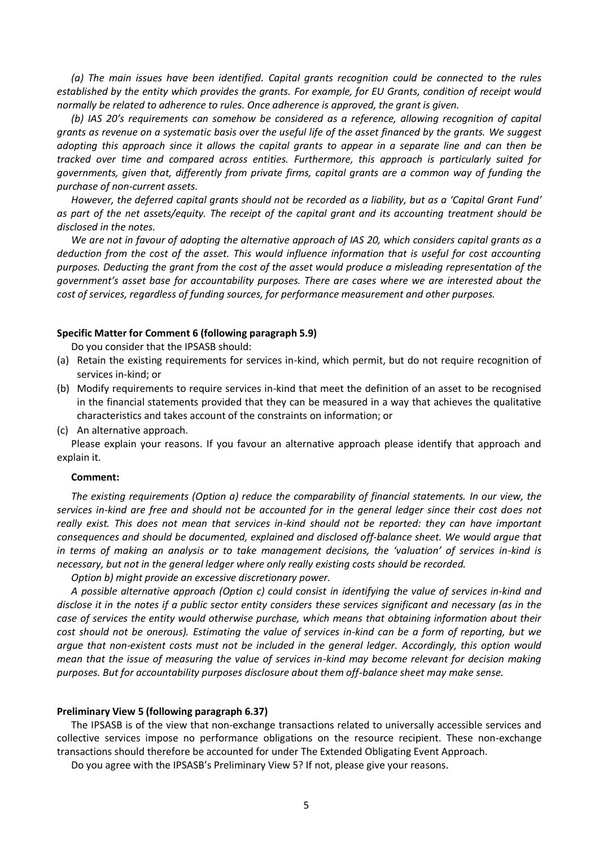*(a) The main issues have been identified. Capital grants recognition could be connected to the rules established by the entity which provides the grants. For example, for EU Grants, condition of receipt would normally be related to adherence to rules. Once adherence is approved, the grant is given.*

*(b) IAS 20's requirements can somehow be considered as a reference, allowing recognition of capital grants as revenue on a systematic basis over the useful life of the asset financed by the grants. We suggest adopting this approach since it allows the capital grants to appear in a separate line and can then be tracked over time and compared across entities. Furthermore, this approach is particularly suited for governments, given that, differently from private firms, capital grants are a common way of funding the purchase of non-current assets.* 

*However, the deferred capital grants should not be recorded as a liability, but as a 'Capital Grant Fund' as part of the net assets/equity. The receipt of the capital grant and its accounting treatment should be disclosed in the notes.*

*We are not in favour of adopting the alternative approach of IAS 20, which considers capital grants as a deduction from the cost of the asset. This would influence information that is useful for cost accounting purposes. Deducting the grant from the cost of the asset would produce a misleading representation of the government's asset base for accountability purposes. There are cases where we are interested about the cost of services, regardless of funding sources, for performance measurement and other purposes.*

#### **Specific Matter for Comment 6 (following paragraph 5.9)**

Do you consider that the IPSASB should:

- (a) Retain the existing requirements for services in-kind, which permit, but do not require recognition of services in-kind; or
- (b) Modify requirements to require services in-kind that meet the definition of an asset to be recognised in the financial statements provided that they can be measured in a way that achieves the qualitative characteristics and takes account of the constraints on information; or
- (c) An alternative approach.

Please explain your reasons. If you favour an alternative approach please identify that approach and explain it.

#### **Comment:**

*The existing requirements (Option a) reduce the comparability of financial statements. In our view, the services in-kind are free and should not be accounted for in the general ledger since their cost does not really exist. This does not mean that services in-kind should not be reported: they can have important consequences and should be documented, explained and disclosed off-balance sheet. We would argue that in terms of making an analysis or to take management decisions, the 'valuation' of services in-kind is necessary, but not in the general ledger where only really existing costs should be recorded.*

*Option b) might provide an excessive discretionary power.*

*A possible alternative approach (Option c) could consist in identifying the value of services in-kind and disclose it in the notes if a public sector entity considers these services significant and necessary (as in the case of services the entity would otherwise purchase, which means that obtaining information about their cost should not be onerous). Estimating the value of services in-kind can be a form of reporting, but we argue that non-existent costs must not be included in the general ledger. Accordingly, this option would mean that the issue of measuring the value of services in-kind may become relevant for decision making purposes. But for accountability purposes disclosure about them off-balance sheet may make sense.* 

#### **Preliminary View 5 (following paragraph 6.37)**

The IPSASB is of the view that non-exchange transactions related to universally accessible services and collective services impose no performance obligations on the resource recipient. These non-exchange transactions should therefore be accounted for under The Extended Obligating Event Approach.

Do you agree with the IPSASB's Preliminary View 5? If not, please give your reasons.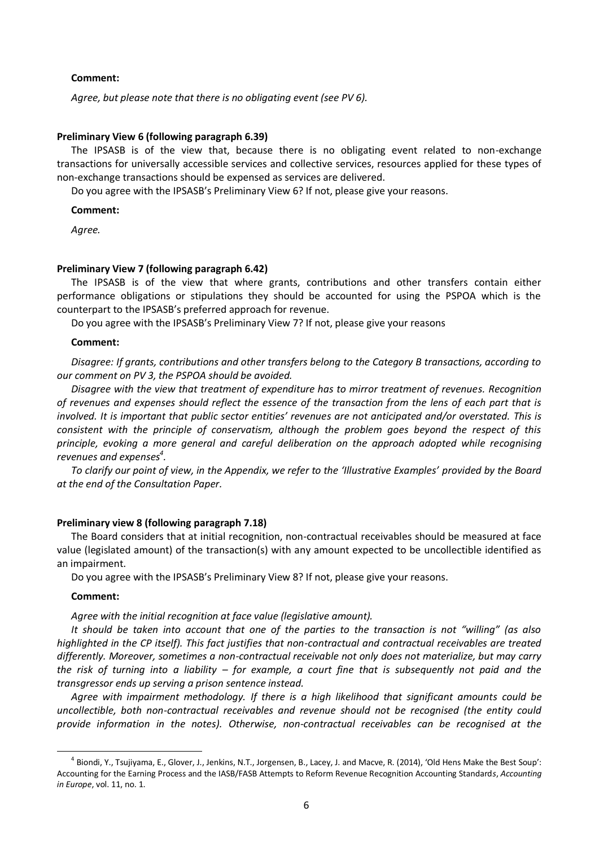#### **Comment:**

*Agree, but please note that there is no obligating event (see PV 6).*

### **Preliminary View 6 (following paragraph 6.39)**

The IPSASB is of the view that, because there is no obligating event related to non-exchange transactions for universally accessible services and collective services, resources applied for these types of non-exchange transactions should be expensed as services are delivered.

Do you agree with the IPSASB's Preliminary View 6? If not, please give your reasons.

### **Comment:**

*Agree.*

## **Preliminary View 7 (following paragraph 6.42)**

The IPSASB is of the view that where grants, contributions and other transfers contain either performance obligations or stipulations they should be accounted for using the PSPOA which is the counterpart to the IPSASB's preferred approach for revenue.

Do you agree with the IPSASB's Preliminary View 7? If not, please give your reasons

#### **Comment:**

*Disagree: If grants, contributions and other transfers belong to the Category B transactions, according to our comment on PV 3, the PSPOA should be avoided.*

*Disagree with the view that treatment of expenditure has to mirror treatment of revenues. Recognition of revenues and expenses should reflect the essence of the transaction from the lens of each part that is involved. It is important that public sector entities' revenues are not anticipated and/or overstated. This is consistent with the principle of conservatism, although the problem goes beyond the respect of this principle, evoking a more general and careful deliberation on the approach adopted while recognising revenues and expenses<sup>4</sup> .*

To clarify our point of view, in the Appendix, we refer to the 'Illustrative Examples' provided by the Board *at the end of the Consultation Paper.*

#### **Preliminary view 8 (following paragraph 7.18)**

The Board considers that at initial recognition, non-contractual receivables should be measured at face value (legislated amount) of the transaction(s) with any amount expected to be uncollectible identified as an impairment.

Do you agree with the IPSASB's Preliminary View 8? If not, please give your reasons.

### **Comment:**

 $\overline{\phantom{a}}$ 

### *Agree with the initial recognition at face value (legislative amount).*

*It should be taken into account that one of the parties to the transaction is not "willing" (as also highlighted in the CP itself). This fact justifies that non-contractual and contractual receivables are treated differently. Moreover, sometimes a non-contractual receivable not only does not materialize, but may carry the risk of turning into a liability – for example, a court fine that is subsequently not paid and the transgressor ends up serving a prison sentence instead.*

*Agree with impairment methodology. If there is a high likelihood that significant amounts could be uncollectible, both non-contractual receivables and revenue should not be recognised (the entity could provide information in the notes). Otherwise, non-contractual receivables can be recognised at the* 

<sup>&</sup>lt;sup>4</sup> Biondi, Y., Tsujiyama, E., Glover, J., Jenkins, N.T., Jorgensen, B., Lacey, J. and Macve, R. (2014), 'Old Hens Make the Best Soup': Accounting for the Earning Process and the IASB/FASB Attempts to Reform Revenue Recognition Accounting Standard*s*, *Accounting in Europe*, vol. 11, no. 1.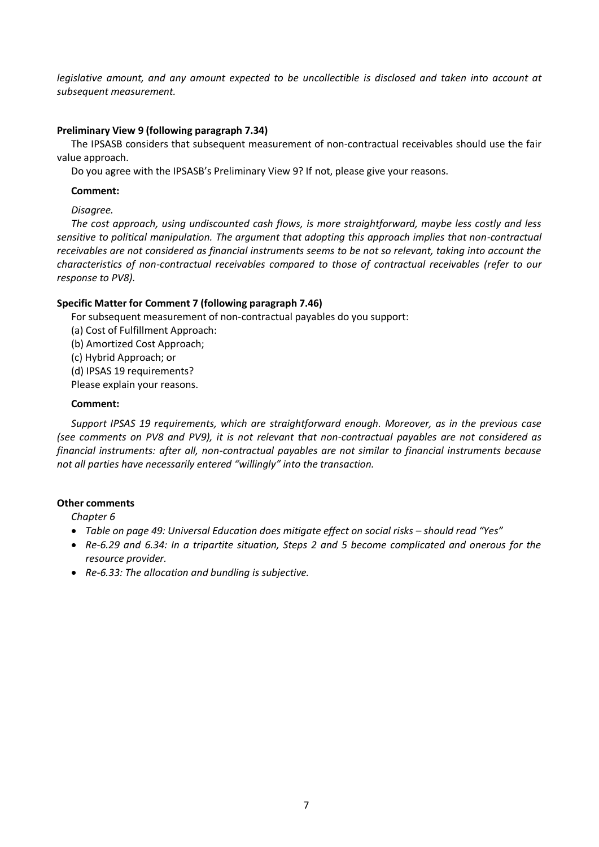*legislative amount, and any amount expected to be uncollectible is disclosed and taken into account at subsequent measurement.*

# **Preliminary View 9 (following paragraph 7.34)**

The IPSASB considers that subsequent measurement of non-contractual receivables should use the fair value approach.

Do you agree with the IPSASB's Preliminary View 9? If not, please give your reasons.

# **Comment:**

*Disagree.* 

*The cost approach, using undiscounted cash flows, is more straightforward, maybe less costly and less sensitive to political manipulation. The argument that adopting this approach implies that non-contractual receivables are not considered as financial instruments seems to be not so relevant, taking into account the characteristics of non-contractual receivables compared to those of contractual receivables (refer to our response to PV8).*

# **Specific Matter for Comment 7 (following paragraph 7.46)**

For subsequent measurement of non-contractual payables do you support:

- (a) Cost of Fulfillment Approach:
- (b) Amortized Cost Approach;
- (c) Hybrid Approach; or

(d) IPSAS 19 requirements?

Please explain your reasons.

# **Comment:**

*Support IPSAS 19 requirements, which are straightforward enough. Moreover, as in the previous case (see comments on PV8 and PV9), it is not relevant that non-contractual payables are not considered as financial instruments: after all, non-contractual payables are not similar to financial instruments because not all parties have necessarily entered "willingly" into the transaction.*

# **Other comments**

*Chapter 6*

- **•** Table on page 49: Universal Education does mitigate effect on social risks should read "Yes"
- *Re-6.29 and 6.34: In a tripartite situation, Steps 2 and 5 become complicated and onerous for the resource provider.*
- *Re-6.33: The allocation and bundling is subjective.*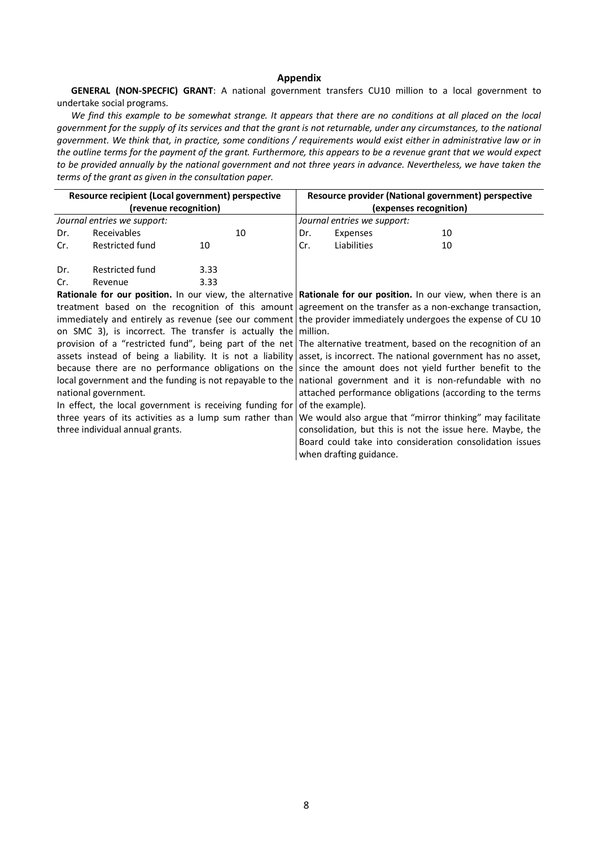#### **Appendix**

**GENERAL (NON-SPECFIC) GRANT**: A national government transfers CU10 million to a local government to undertake social programs.

*We find this example to be somewhat strange. It appears that there are no conditions at all placed on the local government for the supply of its services and that the grant is not returnable, under any circumstances, to the national government. We think that, in practice, some conditions / requirements would exist either in administrative law or in the outline terms for the payment of the grant. Furthermore, this appears to be a revenue grant that we would expect to be provided annually by the national government and not three years in advance. Nevertheless, we have taken the terms of the grant as given in the consultation paper.*

| Resource recipient (Local government) perspective<br>(revenue recognition)                                     |                 |      |    | Resource provider (National government) perspective<br>(expenses recognition)<br>Journal entries we support: |             |    |  |
|----------------------------------------------------------------------------------------------------------------|-----------------|------|----|--------------------------------------------------------------------------------------------------------------|-------------|----|--|
|                                                                                                                |                 |      |    |                                                                                                              |             |    |  |
| Dr.                                                                                                            | Receivables     |      | 10 |                                                                                                              |             |    |  |
| Cr.                                                                                                            | Restricted fund | 10   |    | Cr.                                                                                                          | Liabilities | 10 |  |
| Dr.                                                                                                            | Restricted fund | 3.33 |    |                                                                                                              |             |    |  |
| Cr.                                                                                                            | Revenue         | 3.33 |    |                                                                                                              |             |    |  |
| Battanala fan ann nachtan de ann stan dha chemathial Battanala fan ann nachtan de ann stan silan dhana ta an i |                 |      |    |                                                                                                              |             |    |  |

**Rationale for our position.** In our view, the alternative **Rationale for our position.** In our view, when there is an treatment based on the recognition of this amount agreement on the transfer as a non-exchange transaction, immediately and entirely as revenue (see our comment the provider immediately undergoes the expense of CU 10 on SMC 3), is incorrect. The transfer is actually the provision of a "restricted fund", being part of the net assets instead of being a liability. It is not a liability because there are no performance obligations on the local government and the funding is not repayable to the national government. In effect, the local government is receiving funding for three years of its activities as a lump sum rather than three individual annual grants. million. The alternative treatment, based on the recognition of an asset, is incorrect. The national government has no asset, since the amount does not yield further benefit to the national government and it is non-refundable with no attached performance obligations (according to the terms of the example). We would also argue that "mirror thinking" may facilitate

consolidation, but this is not the issue here. Maybe, the Board could take into consideration consolidation issues when drafting guidance.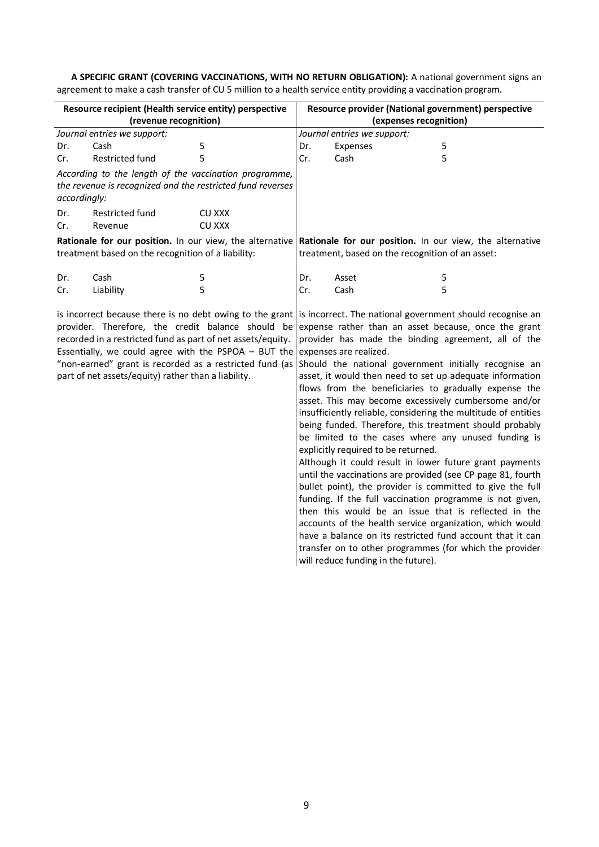**A SPECIFIC GRANT (COVERING VACCINATIONS, WITH NO RETURN OBLIGATION):** A national government signs an agreement to make a cash transfer of CU 5 million to a health service entity providing a vaccination program*.* 

| Resource recipient (Health service entity) perspective                                                                                                                                                                                                                                                                                                                                                                                    |                        |               | Resource provider (National government) perspective                                                                                                                                                                                                                                                                                                                                                                                                                                                                                                                                                                                                                                                                                                                                                                                                                                                                                                                                                                                                                         |                        |   |  |  |
|-------------------------------------------------------------------------------------------------------------------------------------------------------------------------------------------------------------------------------------------------------------------------------------------------------------------------------------------------------------------------------------------------------------------------------------------|------------------------|---------------|-----------------------------------------------------------------------------------------------------------------------------------------------------------------------------------------------------------------------------------------------------------------------------------------------------------------------------------------------------------------------------------------------------------------------------------------------------------------------------------------------------------------------------------------------------------------------------------------------------------------------------------------------------------------------------------------------------------------------------------------------------------------------------------------------------------------------------------------------------------------------------------------------------------------------------------------------------------------------------------------------------------------------------------------------------------------------------|------------------------|---|--|--|
| (revenue recognition)                                                                                                                                                                                                                                                                                                                                                                                                                     |                        |               |                                                                                                                                                                                                                                                                                                                                                                                                                                                                                                                                                                                                                                                                                                                                                                                                                                                                                                                                                                                                                                                                             | (expenses recognition) |   |  |  |
| Journal entries we support:                                                                                                                                                                                                                                                                                                                                                                                                               |                        |               | Journal entries we support:                                                                                                                                                                                                                                                                                                                                                                                                                                                                                                                                                                                                                                                                                                                                                                                                                                                                                                                                                                                                                                                 |                        |   |  |  |
| Dr.                                                                                                                                                                                                                                                                                                                                                                                                                                       | Cash                   | 5             | Dr.                                                                                                                                                                                                                                                                                                                                                                                                                                                                                                                                                                                                                                                                                                                                                                                                                                                                                                                                                                                                                                                                         | Expenses               | 5 |  |  |
| Cr.                                                                                                                                                                                                                                                                                                                                                                                                                                       | <b>Restricted fund</b> | 5             | Cr.                                                                                                                                                                                                                                                                                                                                                                                                                                                                                                                                                                                                                                                                                                                                                                                                                                                                                                                                                                                                                                                                         | Cash                   | 5 |  |  |
| According to the length of the vaccination programme,<br>the revenue is recognized and the restricted fund reverses<br>accordingly:                                                                                                                                                                                                                                                                                                       |                        |               |                                                                                                                                                                                                                                                                                                                                                                                                                                                                                                                                                                                                                                                                                                                                                                                                                                                                                                                                                                                                                                                                             |                        |   |  |  |
| Dr.                                                                                                                                                                                                                                                                                                                                                                                                                                       | Restricted fund        | <b>CU XXX</b> |                                                                                                                                                                                                                                                                                                                                                                                                                                                                                                                                                                                                                                                                                                                                                                                                                                                                                                                                                                                                                                                                             |                        |   |  |  |
| Cr.                                                                                                                                                                                                                                                                                                                                                                                                                                       | Revenue                | <b>CU XXX</b> |                                                                                                                                                                                                                                                                                                                                                                                                                                                                                                                                                                                                                                                                                                                                                                                                                                                                                                                                                                                                                                                                             |                        |   |  |  |
| treatment based on the recognition of a liability:                                                                                                                                                                                                                                                                                                                                                                                        |                        |               | Rationale for our position. In our view, the alternative Rationale for our position. In our view, the alternative<br>treatment, based on the recognition of an asset:                                                                                                                                                                                                                                                                                                                                                                                                                                                                                                                                                                                                                                                                                                                                                                                                                                                                                                       |                        |   |  |  |
| Dr.                                                                                                                                                                                                                                                                                                                                                                                                                                       | Cash                   | 5             | Dr.                                                                                                                                                                                                                                                                                                                                                                                                                                                                                                                                                                                                                                                                                                                                                                                                                                                                                                                                                                                                                                                                         | Asset                  | 5 |  |  |
| Cr.                                                                                                                                                                                                                                                                                                                                                                                                                                       | Liability              | 5             | Cr.                                                                                                                                                                                                                                                                                                                                                                                                                                                                                                                                                                                                                                                                                                                                                                                                                                                                                                                                                                                                                                                                         | Cash                   | 5 |  |  |
| is incorrect because there is no debt owing to the grant is incorrect. The national government should recognise an<br>provider. Therefore, the credit balance should be<br>recorded in a restricted fund as part of net assets/equity.<br>Essentially, we could agree with the PSPOA $-$ BUT the expenses are realized.<br>"non-earned" grant is recorded as a restricted fund (as<br>part of net assets/equity) rather than a liability. |                        |               | expense rather than an asset because, once the grant<br>provider has made the binding agreement, all of the<br>Should the national government initially recognise an<br>asset, it would then need to set up adequate information<br>flows from the beneficiaries to gradually expense the<br>asset. This may become excessively cumbersome and/or<br>insufficiently reliable, considering the multitude of entities<br>being funded. Therefore, this treatment should probably<br>be limited to the cases where any unused funding is<br>explicitly required to be returned.<br>Although it could result in lower future grant payments<br>until the vaccinations are provided (see CP page 81, fourth<br>bullet point), the provider is committed to give the full<br>funding. If the full vaccination programme is not given,<br>then this would be an issue that is reflected in the<br>accounts of the health service organization, which would<br>have a balance on its restricted fund account that it can<br>transfer on to other programmes (for which the provider |                        |   |  |  |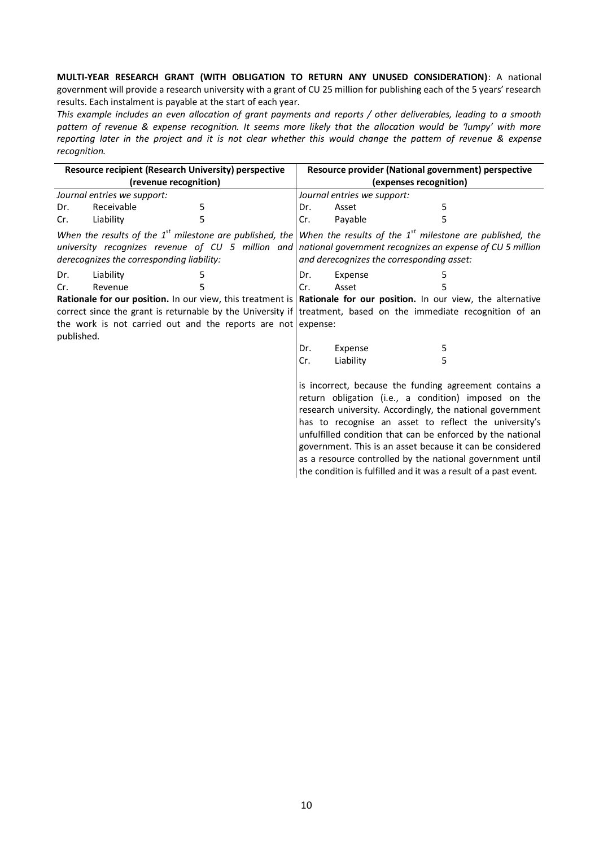**MULTI-YEAR RESEARCH GRANT (WITH OBLIGATION TO RETURN ANY UNUSED CONSIDERATION)**: A national government will provide a research university with a grant of CU 25 million for publishing each of the 5 years' research results. Each instalment is payable at the start of each year.

*This example includes an even allocation of grant payments and reports / other deliverables, leading to a smooth pattern of revenue & expense recognition. It seems more likely that the allocation would be 'lumpy' with more reporting later in the project and it is not clear whether this would change the pattern of revenue & expense recognition.*

| Resource recipient (Research University) perspective                       |            |   |     | Resource provider (National government) perspective                                                                                                                                                                                                                                                     |  |   |                                                                                                                                                                                                                                                                                                                                                                                                                                                                                                 |
|----------------------------------------------------------------------------|------------|---|-----|---------------------------------------------------------------------------------------------------------------------------------------------------------------------------------------------------------------------------------------------------------------------------------------------------------|--|---|-------------------------------------------------------------------------------------------------------------------------------------------------------------------------------------------------------------------------------------------------------------------------------------------------------------------------------------------------------------------------------------------------------------------------------------------------------------------------------------------------|
| (revenue recognition)                                                      |            |   |     | (expenses recognition)                                                                                                                                                                                                                                                                                  |  |   |                                                                                                                                                                                                                                                                                                                                                                                                                                                                                                 |
| Journal entries we support:                                                |            |   |     | Journal entries we support:                                                                                                                                                                                                                                                                             |  |   |                                                                                                                                                                                                                                                                                                                                                                                                                                                                                                 |
| Dr.                                                                        | Receivable | 5 | Dr. | Asset                                                                                                                                                                                                                                                                                                   |  | 5 |                                                                                                                                                                                                                                                                                                                                                                                                                                                                                                 |
| Cr.                                                                        | Liability  | 5 | Cr. | Payable                                                                                                                                                                                                                                                                                                 |  |   |                                                                                                                                                                                                                                                                                                                                                                                                                                                                                                 |
| derecognizes the corresponding liability:                                  |            |   |     | When the results of the 1 <sup>st</sup> milestone are published, the When the results of the 1 <sup>st</sup> milestone are published, the<br>university recognizes revenue of $CU$ 5 million and national government recognizes an expense of CU 5 million<br>and derecognizes the corresponding asset: |  |   |                                                                                                                                                                                                                                                                                                                                                                                                                                                                                                 |
| Dr.                                                                        | Liability  | 5 | Dr. | Expense                                                                                                                                                                                                                                                                                                 |  | 5 |                                                                                                                                                                                                                                                                                                                                                                                                                                                                                                 |
| Cr.                                                                        | Revenue    | 5 | Cr. | Asset                                                                                                                                                                                                                                                                                                   |  |   |                                                                                                                                                                                                                                                                                                                                                                                                                                                                                                 |
| the work is not carried out and the reports are not expense:<br>published. |            |   |     | Rationale for our position. In our view, this treatment is Rationale for our position. In our view, the alternative<br>correct since the grant is returnable by the University if treatment, based on the immediate recognition of an                                                                   |  |   |                                                                                                                                                                                                                                                                                                                                                                                                                                                                                                 |
|                                                                            |            |   | Dr. | Expense                                                                                                                                                                                                                                                                                                 |  | 5 |                                                                                                                                                                                                                                                                                                                                                                                                                                                                                                 |
|                                                                            |            |   | Cr. | Liability                                                                                                                                                                                                                                                                                               |  | 5 |                                                                                                                                                                                                                                                                                                                                                                                                                                                                                                 |
|                                                                            |            |   |     |                                                                                                                                                                                                                                                                                                         |  |   | is incorrect, because the funding agreement contains a<br>return obligation (i.e., a condition) imposed on the<br>research university. Accordingly, the national government<br>has to recognise an asset to reflect the university's<br>unfulfilled condition that can be enforced by the national<br>government. This is an asset because it can be considered<br>as a resource controlled by the national government until<br>the condition is fulfilled and it was a result of a past event. |